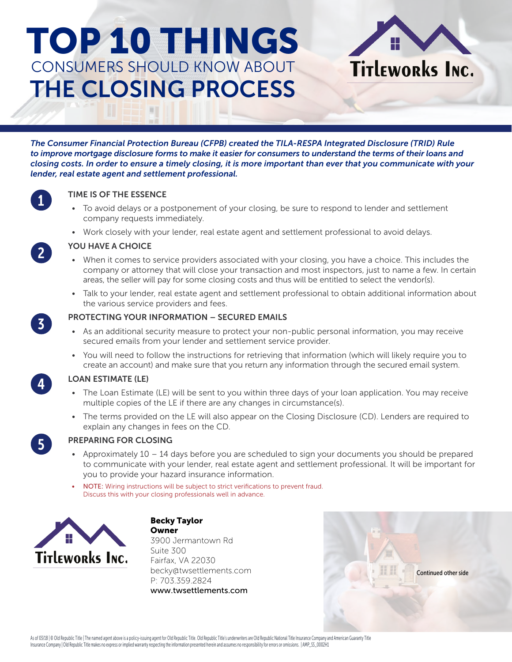# TOP 10 THINGS CONSUMERS SHOULD KNOW ABOUT THE CLOSING PROCESS

*The Consumer Financial Protection Bureau (CFPB) created the TILA-RESPA Integrated Disclosure (TRID) Rule to improve mortgage disclosure forms to make it easier for consumers to understand the terms of their loans and closing costs. In order to ensure a timely closing, it is more important than ever that you communicate with your lender, real estate agent and settlement professional.*

## TIME IS OF THE ESSENCE

- To avoid delays or a postponement of your closing, be sure to respond to lender and settlement company requests immediately.
- Work closely with your lender, real estate agent and settlement professional to avoid delays.

## YOU HAVE A CHOICE

- When it comes to service providers associated with your closing, you have a choice. This includes the company or attorney that will close your transaction and most inspectors, just to name a few. In certain areas, the seller will pay for some closing costs and thus will be entitled to select the vendor(s).
- Talk to your lender, real estate agent and settlement professional to obtain additional information about the various service providers and fees.

## PROTECTING YOUR INFORMATION – SECURED EMAILS

- As an additional security measure to protect your non-public personal information, you may receive secured emails from your lender and settlement service provider.
- You will need to follow the instructions for retrieving that information (which will likely require you to create an account) and make sure that you return any information through the secured email system.

## LOAN ESTIMATE (LE)

- The Loan Estimate (LE) will be sent to you within three days of your loan application. You may receive multiple copies of the LE if there are any changes in circumstance(s).
- The terms provided on the LE will also appear on the Closing Disclosure (CD). Lenders are required to explain any changes in fees on the CD.



4

1

2

3

## PREPARING FOR CLOSING

- Approximately  $10 14$  days before you are scheduled to sign your documents you should be prepared to communicate with your lender, real estate agent and settlement professional. It will be important for you to provide your hazard insurance information.
- NOTE: Wiring instructions will be subject to strict verifications to prevent fraud. Discuss this with your closing professionals well in advance.



Becky Taylor **Owner** 3900 Jermantown Rd Suite 300 Fairfax, VA 22030 becky@twsettlements.com P: 703.359.2824 www.twsettlements.com



Titleworks Inc.



As of 03/18 | © Old Republic Title | The named agent above is a policy-issuing agent for Old Republic Title. Old Republic Title's underwriters are Old Republic National Title Insurance Company and American Guaranty Title Insurance Company | Old Republic Title makes no express or implied warranty respecting the information presented herein and assumes no responsibility for errors or omissions. | AMP\_SS\_0002H1